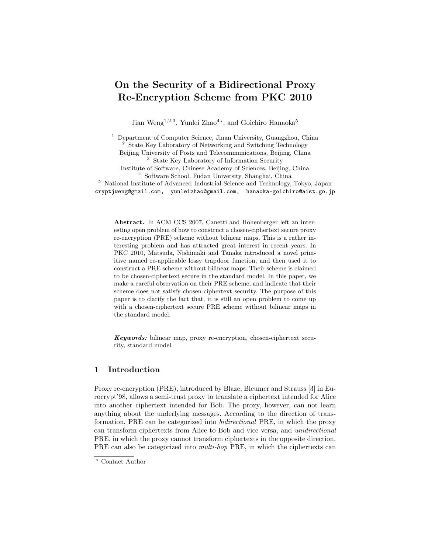# **On the Security of a Bidirectional Proxy Re-Encryption Scheme from PKC 2010**

Jian Weng<sup>1,2,3</sup>, Yunlei Zhao<sup>4\*</sup>, and Goichiro Hanaoka<sup>5</sup>

<sup>1</sup> Department of Computer Science, Jinan University, Guangzhou, China <sup>2</sup> State Key Laboratory of Networking and Switching Technology Beijing University of Posts and Telecommunications, Beijing, China <sup>3</sup> State Key Laboratory of Information Security Institute of Software, Chinese Academy of Sciences, Beijing, China <sup>4</sup> Software School, Fudan University, Shanghai, China <sup>5</sup> National Institute of Advanced Industrial Science and Technology, Tokyo, Japan cryptjweng@gmail.com, yunleizhao@gmail.com, hanaoka-goichiro@aist.go.jp

**Abstract.** In ACM CCS 2007, Canetti and Hohenberger left an interesting open problem of how to construct a chosen-ciphertext secure proxy re-encryption (PRE) scheme without bilinear maps. This is a rather interesting problem and has attracted great interest in recent years. In PKC 2010, Matsuda, Nishimaki and Tanaka introduced a novel primitive named re-applicable lossy trapdoor function, and then used it to construct a PRE scheme without bilinear maps. Their scheme is claimed to be chosen-ciphertext secure in the standard model. In this paper, we make a careful observation on their PRE scheme, and indicate that their scheme does not satisfy chosen-ciphertext security. The purpose of this paper is to clarify the fact that, it is still an open problem to come up with a chosen-ciphertext secure PRE scheme without bilinear maps in the standard model.

*Keywords:* bilinear map, proxy re-encryption, chosen-ciphertext security, standard model.

# **1 Introduction**

Proxy re-encryption (PRE), introduced by Blaze, Bleumer and Strauss [3] in Eurocrypt'98, allows a semi-trust proxy to translate a ciphertext intended for Alice into another ciphertext intended for Bob. The proxy, however, can not learn anything about the underlying messages. According to the direction of transformation, PRE can be categorized into *bidirectional* PRE, in which the proxy can transform ciphertexts from Alice to Bob and vice versa, and *unidirectional* PRE, in which the proxy cannot transform ciphertexts in the opposite direction. PRE can also be categorized into *multi-hop* PRE, in which the ciphertexts can

*<sup>⋆</sup>* Contact Author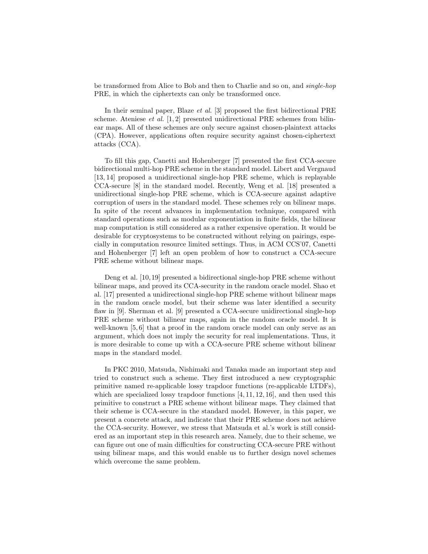be transformed from Alice to Bob and then to Charlie and so on, and *single-hop* PRE, in which the ciphertexts can only be transformed once.

In their seminal paper, Blaze *et al.* [3] proposed the first bidirectional PRE scheme. Ateniese *et al.* [1, 2] presented unidirectional PRE schemes from bilinear maps. All of these schemes are only secure against chosen-plaintext attacks (CPA). However, applications often require security against chosen-ciphertext attacks (CCA).

To fill this gap, Canetti and Hohenberger [7] presented the first CCA-secure bidirectional multi-hop PRE scheme in the standard model. Libert and Vergnaud [13, 14] proposed a unidirectional single-hop PRE scheme, which is replayable CCA-secure [8] in the standard model. Recently, Weng et al. [18] presented a unidirectional single-hop PRE scheme, which is CCA-secure against adaptive corruption of users in the standard model. These schemes rely on bilinear maps. In spite of the recent advances in implementation technique, compared with standard operations such as modular exponentiation in finite fields, the bilinear map computation is still considered as a rather expensive operation. It would be desirable for cryptosystems to be constructed without relying on pairings, especially in computation resource limited settings. Thus, in ACM CCS'07, Canetti and Hohenberger [7] left an open problem of how to construct a CCA-secure PRE scheme without bilinear maps.

Deng et al. [10,19] presented a bidirectional single-hop PRE scheme without bilinear maps, and proved its CCA-security in the random oracle model. Shao et al. [17] presented a unidirectional single-hop PRE scheme without bilinear maps in the random oracle model, but their scheme was later identified a security flaw in [9]. Sherman et al. [9] presented a CCA-secure unidirectional single-hop PRE scheme without bilinear maps, again in the random oracle model. It is well-known [5, 6] that a proof in the random oracle model can only serve as an argument, which does not imply the security for real implementations. Thus, it is more desirable to come up with a CCA-secure PRE scheme without bilinear maps in the standard model.

In PKC 2010, Matsuda, Nishimaki and Tanaka made an important step and tried to construct such a scheme. They first introduced a new cryptographic primitive named re-applicable lossy trapdoor functions (re-applicable LTDFs), which are specialized lossy trapdoor functions  $[4, 11, 12, 16]$ , and then used this primitive to construct a PRE scheme without bilinear maps. They claimed that their scheme is CCA-secure in the standard model. However, in this paper, we present a concrete attack, and indicate that their PRE scheme does not achieve the CCA-security. However, we stress that Matsuda et al.'s work is still considered as an important step in this research area. Namely, due to their scheme, we can figure out one of main difficulties for constructing CCA-secure PRE without using bilinear maps, and this would enable us to further design novel schemes which overcome the same problem.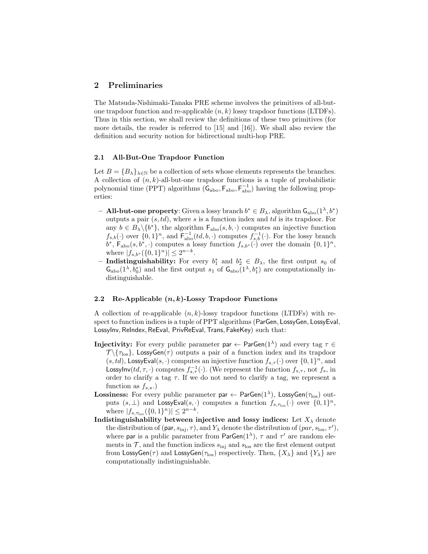## **2 Preliminaries**

The Matsuda-Nishimaki-Tanaka PRE scheme involves the primitives of all-butone trapdoor function and re-applicable (*n, k*) lossy trapdoor functions (LTDFs). Thus in this section, we shall review the definitions of these two primitives (for more details, the reader is referred to [15] and [16]). We shall also review the definition and security notion for bidirectional multi-hop PRE.

#### **2.1 All-But-One Trapdoor Function**

Let  $B = {B_\lambda}_{\lambda \in \mathbb{N}}$  be a collection of sets whose elements represents the branches. A collection of (*n, k*)-all-but-one trapdoor functions is a tuple of probabilistic polynomial time (PPT) algorithms  $(G_{\text{abo}}, F_{\text{abo}}, F_{\text{abo}}^{-1})$  having the following properties:

- $-$  **All-but-one property**: Given a lossy branch *b*<sup>∗</sup>  $∈$  *B*<sub> $λ$ </sub>, algorithm  $\mathsf{G}_{\text{abo}}(1^{\lambda}, b^*)$ outputs a pair (*s, td*), where *s* is a function index and *td* is its trapdoor. For any  $b \in B_{\lambda} \setminus \{b^*\}$ , the algorithm  $F_{\text{abo}}(s, b, \cdot)$  computes an injective function  $f_{s,b}(\cdot)$  over  $\{0,1\}^n$ , and  $\overline{\mathsf{F}}_{\text{abo}}^{-1}(td,b,\cdot)$  computes  $f_{s,b}^{-1}(\cdot)$ . For the lossy branch  $b^*$ ,  $F_{\text{abo}}(s, b^*, \cdot)$  computes a lossy function  $f_{s,b^*}(\cdot)$  over the domain  $\{0,1\}^n$ ,  $|\{f_{s,b^*}(\{0,1\}^n)| \leq 2^{n-k}.\}$
- $−$  **Indistinguishability:** For every  $b_1^*$  and  $b_2^*$  ∈  $B_\lambda$ , the first output  $s_0$  of  $\mathsf{G}_{\text{abo}}(1^{\lambda}, b_0^*)$  and the first output  $s_1$  of  $\mathsf{G}_{\text{abo}}(1^{\lambda}, b_1^*)$  are computationally indistinguishable.

#### **2.2 Re-Applicable (***n, k***)-Lossy Trapdoor Functions**

A collection of re-applicable (*n, k*)-lossy trapdoor functions (LTDFs) with respect to function indices is a tuple of PPT algorithms (ParGen*,* LossyGen*,* LossyEval, LossyInv*,* ReIndex*,* ReEval, PrivReEval*,*Trans*,* FakeKey) such that:

- **Injectivity:** For every public parameter  $\mathsf{par} \leftarrow \mathsf{ParGen}(1^\lambda)$  and every tag  $\tau \in$  $\mathcal{T} \setminus \{\tau_{\text{los}}\}$ , LossyGen( $\tau$ ) outputs a pair of a function index and its trapdoor  $(s, td)$ , LossyEval $(s, \cdot)$  computes an injective function  $f_{s,\tau}(\cdot)$  over  $\{0,1\}^n$ , and LossyInv(*td,*  $\tau$ , ·) computes  $f_{s,\tau}^{-1}(\cdot)$ . (We represent the function  $f_{s,\tau}$ , not  $f_s$ , in order to clarify a tag  $\tau$ . If we do not need to clarify a tag, we represent a function as  $f_{s, \star}$ .)
- **Lossiness:** For every public parameter  $\mathsf{par} \leftarrow \mathsf{ParGen}(1^\lambda)$ ,  $\mathsf{LossyGen}(\tau_{\text{los}})$  outputs  $(s, \perp)$  and  $\textsf{LossyEval}(s, \cdot)$  computes a function  $f_{s, \tau_{\text{los}}}(\cdot)$  over  $\{0, 1\}^n$ , where  $|f_{s,\tau_{\text{los}}}(\{0,1\}^n)| \leq 2^{n-k}$ .
- **Indistinguishability between injective and lossy indices:** Let  $X_{\lambda}$  denote the distribution of (par,  $s_{\text{inj}}, \tau$ ), and  $Y_{\lambda}$  denote the distribution of (par,  $s_{\text{los}}, \tau'$ ), where par is a public parameter from  $ParGen(1^{\lambda})$ ,  $\tau$  and  $\tau'$  are random elements in  $\mathcal{T}$ , and the function indices  $s_{\text{inj}}$  and  $s_{\text{los}}$  are the first element output from LossyGen( $\tau$ ) and LossyGen( $\tau$ <sub>los</sub>) respectively. Then,  $\{X_{\lambda}\}\$ and  $\{Y_{\lambda}\}\$ are computationally indistinguishable.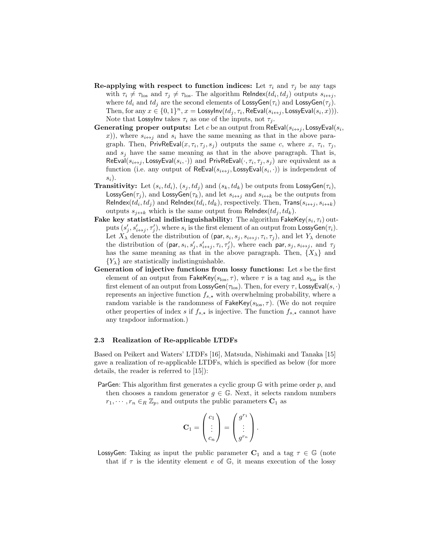- **Re-applying with respect to function indices:** Let  $\tau_i$  and  $\tau_j$  be any tags with  $\tau_i \neq \tau_{\text{los}}$  and  $\tau_j \neq \tau_{\text{los}}$ . The algorithm ReIndex( $td_i, td_j$ ) outputs  $s_{i \leftrightarrow j}$ , where  $td_i$  and  $td_j$  are the second elements of  $\textsf{LossyGen}(\tau_i)$  and  $\textsf{LossyGen}(\tau_j)$ . Then, for any  $x \in \{0,1\}^n$ ,  $x =$  LossyInv $(td_j, \tau_i,$  ReEval $(s_{i \leftrightarrow j},$  LossyEval $(s_i, x))$ ). Note that LossyInv takes  $\tau_i$  as one of the inputs, not  $\tau_i$ .
- **Generating proper outputs:** Let *c* be an output from ReEval( $s_{i \leftrightarrow j}$ , LossyEval( $s_i$ , *x*)), where  $s_{i \leftrightarrow j}$  and  $s_i$  have the same meaning as that in the above paragraph. Then, PrivReEval $(x, \tau_i, \tau_j, s_j)$  outputs the same *c*, where *x*,  $\tau_i$ ,  $\tau_j$ , and  $s_j$  have the same meaning as that in the above paragraph. That is,  $\mathsf{ReEval}(s_{i \leftrightarrow j}, \mathsf{LossyEval}(s_i, \cdot))$  and  $\mathsf{PrivRecval}(\cdot, \tau_i, \tau_j, s_j)$  are equivalent as a function (i.e. any output of  $\mathsf{ReEval}(s_{i \leftrightarrow j}, \mathsf{LossyEval}(s_i, \cdot))$  is independent of *si*).
- **Transitivity:** Let  $(s_i, td_i)$ ,  $(s_j, td_j)$  and  $(s_k, td_k)$  be outputs from LossyGen( $\tau_i$ ), LossyGen( $\tau$ <sup>*j*</sup>), and LossyGen( $\tau$ <sup>*k*</sup>), and let  $s$ <sup>*i* $\leftrightarrow$ *j*</sub> and  $s$ <sup>*i* $\leftrightarrow$ *k*</sub> be the outputs from</sup></sup>  $\mathsf{Relndex}(td_i, td_j)$  and  $\mathsf{Relndex}(td_i, td_k)$ , respectively. Then,  $\mathsf{Trans}(s_{i \leftrightarrow j}, s_{i \leftrightarrow k})$ outputs  $s_{i \leftrightarrow k}$  which is the same output from ReIndex( $td_i, td_k$ ).
- **Fake key statistical indistinguishability:** The algorithm FakeKey(*s<sup>i</sup> , τi*) outputs  $(s'_j, s'_{i \leftrightarrow j}, \tau'_j)$ , where  $s_i$  is the first element of an output from LossyGen $(\tau_i)$ . Let  $X_{\lambda}$  denote the distribution of (par,  $s_i$ ,  $s_j$ ,  $s_{i \leftrightarrow j}$ ,  $\tau_i$ ,  $\tau_j$ ), and let  $Y_{\lambda}$  denote the distribution of  $(\text{par}, s_i, s'_j, s'_{i \leftrightarrow j}, \tau_i, \tau'_j)$ , where each par,  $s_j, s_{i \leftrightarrow j}$ , and  $\tau_j$ has the same meaning as that in the above paragraph. Then,  $\{X_{\lambda}\}\$ and  ${Y_{\lambda}}$  are statistically indistinguishable.
- **Generation of injective functions from lossy functions:** Let *s* be the first element of an output from FakeKey( $s_{\text{los}}, \tau$ ), where  $\tau$  is a tag and  $s_{\text{los}}$  is the first element of an output from LossyGen(*τ*los). Then, for every *τ* , LossyEval(*s, ·*) represents an injective function  $f_{s, \star}$  with overwhelming probability, where a random variable is the randomness of  $\mathsf{FakeKey}(s_{\text{los}}, \tau)$ . (We do not require other properties of index *s* if  $f_{s, \star}$  is injective. The function  $f_{s, \star}$  cannot have any trapdoor information.)

#### **2.3 Realization of Re-applicable LTDFs**

Based on Peikert and Waters' LTDFs [16], Matsuda, Nishimaki and Tanaka [15] gave a realization of re-applicable LTDFs, which is specified as below (for more details, the reader is referred to [15]):

ParGen: This algorithm first generates a cyclic group G with prime order *p*, and then chooses a random generator  $g \in \mathbb{G}$ . Next, it selects random numbers  $r_1, \dots, r_n \in_R \mathbb{Z}_p$ , and outputs the public parameters  $C_1$  as

$$
\mathbf{C}_1 = \begin{pmatrix} c_1 \\ \vdots \\ c_n \end{pmatrix} = \begin{pmatrix} g^{r_1} \\ \vdots \\ g^{r_n} \end{pmatrix}.
$$

LossyGen: Taking as input the public parameter  $C_1$  and a tag  $\tau \in \mathbb{G}$  (note that if  $\tau$  is the identity element  $e$  of  $\mathbb{G}$ , it means execution of the lossy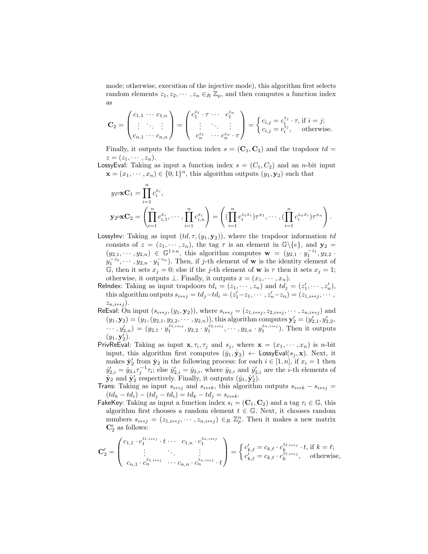mode; otherwise, execution of the injective mode), this algorithm first selects random elements  $z_1, z_2, \dots, z_n \in_R \mathbb{Z}_p$ , and then computes a function index as

$$
\mathbf{C}_2 = \begin{pmatrix} c_{1,1} & \cdots & c_{1,n} \\ \vdots & \ddots & \vdots \\ c_{n,1} & \cdots & c_{n,n} \end{pmatrix} = \begin{pmatrix} c_1^{z_1} \cdot \tau & \cdots & c_1^{z_n} \\ \vdots & \ddots & \vdots \\ c_n^{z_1} & \cdots & c_n^{z_n} \cdot \tau \end{pmatrix} = \begin{cases} c_{i,j} = c_i^{z_j} \cdot \tau, \text{ if } i = j; \\ c_{i,j} = c_i^{z_j}, \text{ otherwise.} \end{cases}
$$

Finally, it outputs the function index  $s = (\mathbf{C}_1, \mathbf{C}_2)$  and the trapdoor  $td =$  $z=(z_1,\cdots,z_n).$ 

LossyEval: Taking as input a function index  $s = (C_1, C_2)$  and an *n*-bit input  $\mathbf{x} = (x_1, \dots, x_n) \in \{0, 1\}^n$ , this algorithm outputs  $(y_1, \mathbf{y}_2)$  such that

$$
y_1 = \mathbf{X} \mathbf{C}_1 = \prod_{i=1}^n c_i^{x_i},
$$
  
\n
$$
\mathbf{y}_2 = \mathbf{X} \mathbf{C}_2 = \left( \prod_{i=1}^n c_{i,1}^{x_i}, \cdots, \prod_{i=1}^n c_{i,n}^{x_i} \right) = \left( (\prod_{i=1}^n c_i^{z_1 x_i}) \tau^{x_1}, \cdots, (\prod_{i=1}^n c_i^{z_n x_i}) \tau^{x_n} \right).
$$

LossyInv: Taking as input  $(id, \tau, (y_1, y_2))$ , where the trapdoor information td consists of  $z = (z_1, \dots, z_n)$ , the tag  $\tau$  is an element in  $\mathbb{G}\backslash\{e\}$ , and  $\mathbf{y}_2 =$  $(y_{2,1},\dots,y_{2,n}) \in \mathbb{G}^{1 \times n}$ , this algorithm computes  $\mathbf{w} = (y_{2,1} \cdot y_1^{-z_1}, y_{2,2} \cdot \mathbf{w})$  $y_1^{-z_2}, \dots, y_{2,n} \cdot y_1^{-z_n}$ . Then, if *j*-th element of **w** is the identity element of G, then it sets  $x_j = 0$ ; else if the *j*-th element of **w** is  $\tau$  then it sets  $x_j = 1$ ; otherwise, it outputs  $\bot$ . Finally, it outputs  $x = (x_1, \dots, x_n)$ .

ReIndex: Taking as input trapdoors  $td_i = (z_1, \dots, z_n)$  and  $td_j = (z'_1, \dots, z'_n)$ , this algorithm outputs  $s_{i \leftrightarrow j} = td_j - td_i = (z'_1 - z_1, \cdots, z'_n - z_n) = (z_{1,i \leftrightarrow j}, \cdots, z_n)$  $z_{n,i\leftrightarrow j}$ ).

- ReEval: On input  $(s_{i\leftrightarrow j}, (y_1, y_2))$ , where  $s_{i\leftrightarrow j} = (z_{1,i\leftrightarrow j}, z_{2,i\leftrightarrow j}, \dots, z_{n,i\leftrightarrow j})$  and  $(y_1, \mathbf{y}_2) = (y_1, (y_{2,1}, y_{2,2}, \cdots, y_{2,n}))$ , this algorithm computes  $\mathbf{y}'_2 = (y'_{2,1}, y'_{2,2}, \cdots, y_{2,n})$  $\cdots$ ,  $y'_{2,n}$  =  $(y_{2,1} \cdot y_1^{z_{1,i\leftrightarrow j}}, y_{2,2} \cdot y_1^{z_{2,i\leftrightarrow j}}, \cdots, y_{2,n} \cdot y_1^{z_{n,i\leftrightarrow j}})$ . Then it outputs  $(y_1, \mathbf{y}'_2).$
- PrivReEval: Taking as input  $\mathbf{x}, \tau_i, \tau_j$  and  $s_j$ , where  $\mathbf{x} = (x_1, \dots, x_n)$  is *n*-bit input, this algorithm first computes  $(\hat{y}_1, \hat{y}_2) \leftarrow \text{LossyEval}(s_i, \mathbf{x})$ . Next, it makes  $\hat{\mathbf{y}}_2'$  from  $\hat{\mathbf{y}}_2$  in the following process: for each  $i \in [1, n]$ , if  $x_i = 1$  then  $\hat{y}'_{2,i} = \hat{y}_{2,i} \tau_j^{-1} \tau_i$ ; else  $\hat{y}'_{2,i} = \hat{y}_{2,i}$ , where  $\hat{y}_{2,i}$  and  $\hat{y}'_{2,i}$  are the *i*-th elements of  $\hat{\mathbf{y}}_2$  and  $\hat{\mathbf{y}}'_2$  respectively. Finally, it outputs  $(\hat{y}_1, \hat{\mathbf{y}}'_2)$ .
- Trans: Taking as input  $s_{i \leftrightarrow j}$  and  $s_{i \leftrightarrow k}$ , this algorithm outputs  $s_{i \leftrightarrow k} s_{i \leftrightarrow j} =$  $(td_k - td_i) - (td_j - td_i) = td_k - td_j = s_{i \leftrightarrow k}.$
- FakeKey: Taking as input a function index  $s_i = (\mathbf{C}_1, \mathbf{C}_2)$  and a tag  $\tau_i \in \mathbb{G}$ , this algorithm first chooses a random element  $t \in \mathbb{G}$ . Next, it chooses random numbers  $s_{i \leftrightarrow j} = (z_{1,i \leftrightarrow j}, \dots, z_{n,i \leftrightarrow j}) \in_R \mathbb{Z}_p^n$ . Then it makes a new matrix **C***′* <sup>2</sup> as follows:

$$
\mathbf{C}'_2 = \begin{pmatrix} c_{1,1} \cdot c_1^{z_{1,i \leftrightarrow j}} \cdot t \cdot \cdots & c_{1,n} \cdot c_1^{z_{n,i \leftrightarrow j}} \\ \vdots & \vdots & \vdots \\ c_{n,1} \cdot c_n^{z_{1,i \leftrightarrow j}} \cdot \cdots c_{n,n} \cdot c_n^{z_{n,i \leftrightarrow j}} \cdot t \end{pmatrix} = \begin{cases} c'_{k,\ell} = c_{k,\ell} \cdot c_k^{z_{\ell,i \leftrightarrow j}} \cdot t, \text{ if } k = \ell; \\ c'_{k,\ell} = c_{k,\ell} \cdot c_k^{z_{\ell,i \leftrightarrow j}}, \text{ otherwise,} \end{cases}
$$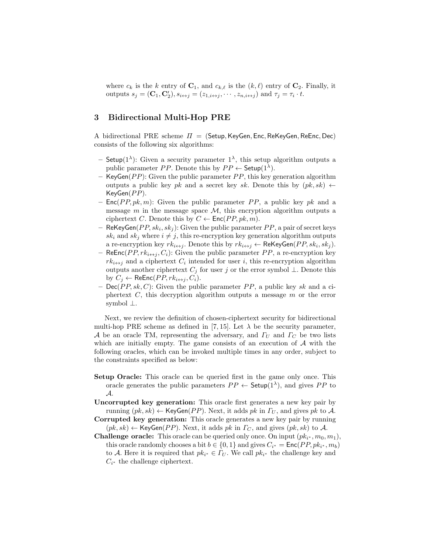where  $c_k$  is the *k* entry of  $C_1$ , and  $c_{k,\ell}$  is the  $(k,\ell)$  entry of  $C_2$ . Finally, it outputs  $s_j = (\mathbf{C}_1, \mathbf{C}'_2), s_{i \leftrightarrow j} = (z_{1,i \leftrightarrow j}, \cdots, z_{n,i \leftrightarrow j})$  and  $\tau_j = \tau_i \cdot t$ .

# **3 Bidirectional Multi-Hop PRE**

A bidirectional PRE scheme *Π* = (Setup*,*KeyGen*,* Enc*,* ReKeyGen*,* ReEnc*,* Dec) consists of the following six algorithms:

- $\sim$  Setup(1<sup> $\lambda$ </sup>): Given a security parameter 1<sup> $\lambda$ </sup>, this setup algorithm outputs a public parameter *PP*. Denote this by  $PP \leftarrow$  Setup(1<sup> $\lambda$ </sup>).
- **–** KeyGen(*P P*): Given the public parameter *P P*, this key generation algorithm outputs a public key *pk* and a secret key *sk*. Denote this by  $(pk, sk) \leftarrow$ KeyGen(*P P*).
- **–** Enc(*P P, pk, m*): Given the public parameter *P P*, a public key *pk* and a message  $m$  in the message space  $M$ , this encryption algorithm outputs a ciphertext *C*. Denote this by  $C \leftarrow \text{Enc}(PP, pk, m)$ .
- **–** ReKeyGen(*P P, sk<sup>i</sup> , sk<sup>j</sup>* ): Given the public parameter *P P*, a pair of secret keys  $sk_i$  and  $sk_j$  where  $i \neq j$ , this re-encryption key generation algorithm outputs a re-encryption key  $rk_{i\leftrightarrow j}$ . Denote this by  $rk_{i\leftrightarrow j} \leftarrow \mathsf{ReKeyGen}(PP, sk_i, sk_j)$ .
- **–** ReEnc(*P P, rk<sup>i</sup>↔<sup>j</sup> , Ci*): Given the public parameter *P P*, a re-encryption key  $rk_{i\leftrightarrow j}$  and a ciphertext  $C_i$  intended for user *i*, this re-encryption algorithm outputs another ciphertext  $C_j$  for user *j* or the error symbol  $\bot$ . Denote this by  $C_i \leftarrow \mathsf{ReEnc}(PP, rk_{i \leftrightarrow i}, C_i)$ .
- **–** Dec(*P P, sk, C*): Given the public parameter *P P*, a public key *sk* and a ciphertext *C*, this decryption algorithm outputs a message *m* or the error symbol *⊥*.

Next, we review the definition of chosen-ciphertext security for bidirectional multi-hop PRE scheme as defined in [7, 15]. Let  $\lambda$  be the security parameter, *A* be an oracle TM, representing the adversary, and *Γ<sup>U</sup>* and *Γ<sup>C</sup>* be two lists which are initially empty. The game consists of an execution of *A* with the following oracles, which can be invoked multiple times in any order, subject to the constraints specified as below:

- **Setup Oracle:** This oracle can be queried first in the game only once. This oracle generates the public parameters  $PP \leftarrow$  Setup(1<sup> $\lambda$ </sup>), and gives *PP* to *A*.
- **Uncorrupted key generation:** This oracle first generates a new key pair by running  $(pk, sk) \leftarrow \text{KeyGen}(PP)$ . Next, it adds *pk* in  $\Gamma_U$ , and gives *pk* to *A*.
- **Corrupted key generation:** This oracle generates a new key pair by running  $(pk, sk) \leftarrow \text{KeyGen}(PP)$ . Next, it adds *pk* in  $\Gamma_C$ , and gives  $(pk, sk)$  to A.
- **Challenge oracle:** This oracle can be queried only once. On input  $(pk_{i^*}, m_0, m_1)$ , this oracle randomly chooses a bit  $b \in \{0, 1\}$  and gives  $C_{i^*} = \text{Enc}(PP, pk_{i^*}, m_b)$ to *A*. Here it is required that  $pk_{i^*} \in \Gamma_U$ . We call  $pk_{i^*}$  the challenge key and  $C_{i^*}$  the challenge ciphertext.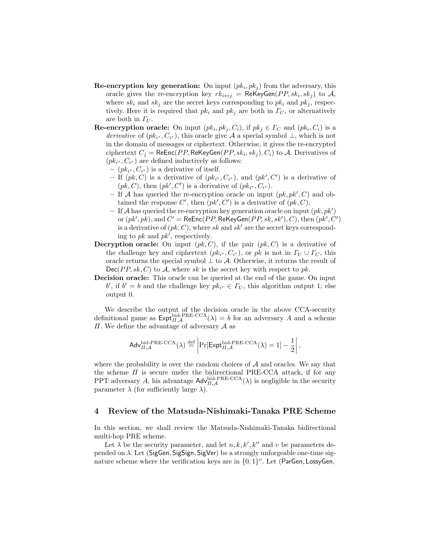- **Re-encryption key generation:** On input  $(pk_i, pk_j)$  from the adversary, this oracle gives the re-encryption key  $rk_{i\leftrightarrow j}$  = ReKeyGen( $PP, sk_i, sk_j$ ) to  $A$ , where  $sk_i$  and  $sk_j$  are the secret keys corresponding to  $pk_i$  and  $pk_j$ , respectively. Here it is required that  $pk_i$  and  $pk_j$  are both in  $\Gamma_C$ , or alternatively are both in *Γ<sup>U</sup>* .
- **Re-encryption oracle:** On input  $(pk_i, pk_j, C_i)$ , if  $pk_j \in \Gamma_C$  and  $(pk_i, C_i)$  is a *derivative* of  $(pk_{i^*}, C_{i^*})$ , this oracle give *A* a special symbol  $\perp$ , which is not in the domain of messages or ciphertext. Otherwise, it gives the re-encrypted  $\text{ciphertext } C_j = \mathsf{ReEnc}(PP, \mathsf{ReKeyGen}(PP, sk_i, sk_j), C_i) \text{ to } \mathcal{A}.$  Derivatives of  $(pk_{i^*}, C_{i^*})$  are defined inductively as follows:
	- $− (pk_{i^*}, C_{i^*})$  is a derivative of itself.
	- **−** If  $(pk, C)$  is a derivative of  $(pk_i^*, C_{i^*})$ , and  $(pk', C')$  is a derivative of  $(pk, C)$ , then  $(pk', C')$  is a derivative of  $(pk_{i^*}, C_{i^*})$ .
	- **–** If *A* has queried the re-encryption oracle on input (*pk, pk′ , C*) and obtained the response  $C'$ , then  $(pk', C')$  is a derivative of  $(pk, C)$ .
	- **–** If *A* has queried the re-encryption key generation oracle on input (*pk, pk′* ) or  $(pk', pk)$ , and  $C' = \mathsf{ReEnc}(PP, \mathsf{ReKeyGen}(PP, sk, sk'), C)$ , then  $(pk', C')$ is a derivative of (*pk, C*), where *sk* and *sk′* are the secret keys corresponding to *pk* and *pk′* , respectively.
- **Decryption oracle:** On input  $(pk, C)$ , if the pair  $(pk, C)$  is a derivative of the challenge key and ciphertext  $(pk_{i^*}, C_{i^*})$ , or *pk* is not in  $\Gamma_U \cup \Gamma_C$ , this oracle returns the special symbol *⊥* to *A*. Otherwise, it returns the result of  $Dec(PP, sk, C)$  to A, where *sk* is the secret key with respect to *pk*.
- **Decision oracle:** This oracle can be queried at the end of the game. On input *b*<sup>'</sup>, if  $b' = b$  and the challenge key  $pk_{i^*} \in \Gamma_U$ , this algorithm output 1; else output 0.

We describe the output of the decision oracle in the above CCA-security definitional game as  $\text{Expt}_{H,\mathcal{A}}^{\text{bid-PRE-CCA}}(\lambda) = b$  for an adversary *A* and a scheme *Π*. We define the advantage of adversary *A* as

$$
\mathsf{Adv}_{\Pi,\mathcal{A}}^{\mathsf{bid-PRE-CCA}}(\lambda) \stackrel{\text{def}}{=} \left| \Pr[\mathsf{Expt}_{\Pi,\mathcal{A}}^{\mathsf{bid-PRE-CCA}}(\lambda) = 1] - \frac{1}{2} \right|,
$$

where the probability is over the random choices of *A* and oracles. We say that the scheme  $\Pi$  is secure under the bidirectional PRE-CCA attack, if for any PPT adversary *A*, his advantage  $\mathsf{Adv}_{II,A}^{\text{bid-PRE-CCA}}(\lambda)$  is negligible in the security parameter  $\lambda$  (for sufficiently large  $\lambda$ ).

## **4 Review of the Matsuda-Nishimaki-Tanaka PRE Scheme**

In this section, we shall review the Matsuda-Nishimaki-Tanaka bidirectional multi-hop PRE scheme.

Let  $\lambda$  be the security parameter, and let  $n, k, k', k''$  and  $v$  be parameters depended on *λ*. Let (SigGen*,* SigSign*,* SigVer) be a strongly unforgeable one-time signature scheme where the verification keys are in *{*0*,* 1*} v* . Let (ParGen*,* LossyGen*,*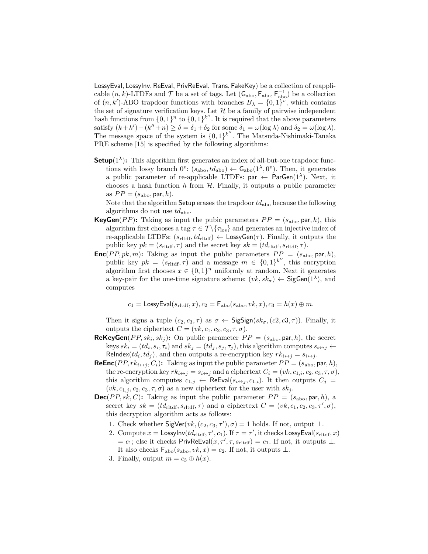LossyEval*,* LossyInv*,* ReEval*,* PrivReEval, Trans*,* FakeKey) be a collection of reapplicable  $(n, k)$ -LTDFs and  $\mathcal T$  be a set of tags. Let  $(\mathsf{G}_{\text{abo}}, \mathsf{F}_{\text{abo}}, \mathsf{F}_{\text{abo}}^{-1})$  be a collection of  $(n, k')$ -ABO trapdoor functions with branches  $B_{\lambda} = \{0, 1\}^{\nu}$ , which contains the set of signature verification keys. Let  $H$  be a family of pairwise independent hash functions from  $\{0,1\}^n$  to  $\{0,1\}^{k''}$ . It is required that the above parameters satisfy  $(k + k') - (k'' + n) \ge \delta = \delta_1 + \delta_2$  for some  $\delta_1 = \omega(\log \lambda)$  and  $\delta_2 = \omega(\log \lambda)$ . The message space of the system is *{*0*,* 1*} k ′′* . The Matsuda-Nishimaki-Tanaka PRE scheme [15] is specified by the following algorithms:

**Setup**( $1^{\lambda}$ ): This algorithm first generates an index of all-but-one trapdoor functions with lossy branch  $0^v$ :  $(s_{\text{abo}}, td_{\text{abo}}) \leftarrow \mathsf{G}_{\text{abo}}(1^{\lambda}, 0^v)$ . Then, it generates a public parameter of re-applicable LTDFs:  $par \leftarrow ParGen(1^{\lambda})$ . Next, it chooses a hash function *h* from *H*. Finally, it outputs a public parameter as  $PP = (s_{\text{abo}}, \text{par}, h)$ .

Note that the algorithm Setup erases the trapdoor  $td_{\text{abo}}$  because the following algorithms do not use *td*abo.

- **KeyGen**(*PP*): Taking as input the pubic parameters  $PP = (s_{\text{abo}}, \text{par}, h)$ , this algorithm first chooses a tag  $\tau \in \mathcal{T} \backslash \{\tau_{\mathrm{los}}\}$  and generates an injective index of re-applicable LTDFs:  $(s_{\text{rltdf}}, td_{\text{rltdf}}) \leftarrow \text{LossyGen}(\tau)$ . Finally, it outputs the public key  $pk = (s_{\text{rltdf}}, \tau)$  and the secret key  $sk = (td_{\text{rltdf}}, s_{\text{rltdf}}, \tau)$ .
- **Enc**(*PP, pk, m*): Taking as input the public parameters  $PP = (s_{\text{abo}}, \text{par}, h)$ , public key  $pk = (s_{\text{rltdf}}, \tau)$  and a message  $m \in \{0, 1\}^{k''}$ , this encryption algorithm first chooses  $x \in \{0,1\}^n$  uniformly at random. Next it generates a key-pair for the one-time signature scheme:  $(vk, sk_{\sigma}) \leftarrow$  SigGen(1<sup> $\lambda$ </sup>), and computes

$$
c_1 = \text{LossyEval}(s_{\text{rltdf}}, x), c_2 = \mathsf{F}_{\text{abo}}(s_{\text{abo}}, vk, x), c_3 = h(x) \oplus m.
$$

Then it signs a tuple  $(c_2, c_3, \tau)$  as  $\sigma \leftarrow$  SigSign( $sk_{\sigma}$ ,  $(c_2, c_3, \tau)$ ). Finally, it outputs the ciphertext  $C = (vk, c_1, c_2, c_3, \tau, \sigma)$ .

- **ReKeyGen**(*PP*,  $sk_i$ ,  $sk_j$ ): On public parameter  $PP = (s_{\text{abo}}, \text{par}, h)$ , the secret keys  $sk_i = (td_i, s_i, \tau_i)$  and  $sk_j = (td_j, s_j, \tau_j)$ , this algorithm computes  $s_{i \leftrightarrow j} \leftarrow$ ReIndex( $td_i, td_j$ ), and then outputs a re-encryption key  $rk_{i \leftrightarrow j} = s_{i \leftrightarrow j}$ .
- **ReEnc**(*PP, rk*<sub>*i* $\leftrightarrow$ </sub>*j*, *C*<sub>*i*</sub>): Taking as input the public parameter  $PP = (s_{\text{abo}}, \text{par}, h)$ , the re-encryption key  $rk_{i \leftrightarrow j} = s_{i \leftrightarrow j}$  and a ciphertext  $C_i = (vk, c_{1,i}, c_2, c_3, \tau, \sigma)$ , this algorithm computes  $c_{1,j} \leftarrow \text{ReEval}(s_{i \leftrightarrow j}, c_{1,i})$ . It then outputs  $C_j =$  $(vk, c_{1,j}, c_2, c_3, \tau, \sigma)$  as a new ciphertext for the user with  $sk_j$ .
- **Dec**(*PP*, sk, *C*): Taking as input the public parameter  $PP = (s_{\text{abo}}, \text{par}, h)$ , a secret key  $sk = (td_{\text{rltdf}}, s_{\text{rltdf}}, \tau)$  and a ciphertext  $C = (vk, c_1, c_2, c_3, \tau', \sigma)$ , this decryption algorithm acts as follows:
	- 1. Check whether  $\text{SigVer}(vk, (c_2, c_3, \tau'), \sigma) = 1$  holds. If not, output  $\bot$ .
	- 2. Compute  $x =$  LossyInv $(t d_{\text{rltdf}}, \tau', c_1)$ . If  $\tau = \tau'$ , it checks LossyEval $(s_{\text{rltdf}}, x)$  $c_1$ ; else it checks PrivReEval $(x, \tau', \tau, s_{\text{rliff}}) = c_1$ . If not, it outputs  $\bot$ . It also checks Fabo(*s*abo*, vk, x*) = *c*2. If not, it outputs *⊥*.
	- 3. Finally, output  $m = c_3 \oplus h(x)$ .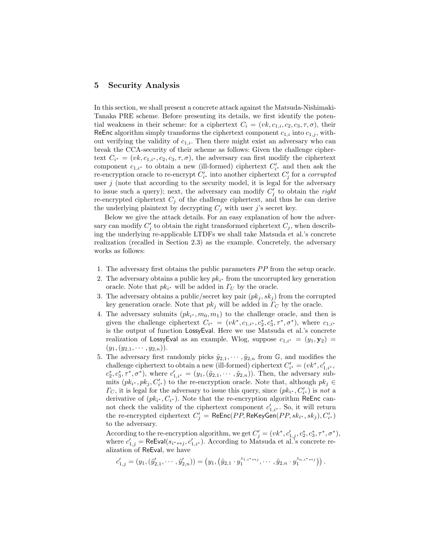# **5 Security Analysis**

In this section, we shall present a concrete attack against the Matsuda-Nishimaki-Tanaka PRE scheme. Before presenting its details, we first identify the potential weakness in their scheme: for a ciphertext  $C_i = (vk, c_{1,i}, c_2, c_3, \tau, \sigma)$ , their ReEnc algorithm simply transforms the ciphertext component  $c_{1,i}$  into  $c_{1,i}$ , without verifying the validity of *c*1*,i*. Then there might exist an adversary who can break the CCA-security of their scheme as follows: Given the challenge ciphertext  $C_{i^*} = (vk, c_{1,i^*}, c_2, c_3, \tau, \sigma)$ , the adversary can first modify the ciphertext component  $c_{1,i^*}$  to obtain a new (ill-formed) ciphertext  $C'_{i^*}$  and then ask the re-encryption oracle to re-encrypt  $C'_{i^*}$  into another ciphertext  $C'_{j}$  for a *corrupted* user  $j$  (note that according to the security model, it is legal for the adversary to issue such a query); next, the adversary can modify *C ′ j* to obtain the *right* re-encrypted ciphertext  $C_j$  of the challenge ciphertext, and thus he can derive the underlying plaintext by decrypting  $C_i$  with user *j*'s secret key.

Below we give the attack details. For an easy explanation of how the adversary can modify  $C'_{j}$  to obtain the right transformed ciphertext  $C_{j}$ , when describing the underlying re-applicable LTDFs we shall take Matsuda et al.'s concrete realization (recalled in Section 2.3) as the example. Concretely, the adversary works as follows:

- 1. The adversary first obtains the public parameters *P P* from the setup oracle.
- 2. The adversary obtains a public key  $pk_{i^*}$  from the uncorrupted key generation oracle. Note that  $pk_{i^*}$  will be added in  $\Gamma_U$  by the oracle.
- 3. The adversary obtains a public/secret key pair  $(pk_j, sk_j)$  from the corrupted key generation oracle. Note that  $pk_j$  will be added in  $\Gamma_C$  by the oracle.
- 4. The adversary submits  $(pk_{i^*}, m_0, m_1)$  to the challenge oracle, and then is given the challenge ciphertext  $C_{i^*} = (vk^*, c_{1,i^*}, c_2^*, c_3^*, \tau^*, \sigma^*)$ , where  $c_{1,i^*}$ is the output of function LossyEval. Here we use Matsuda et al.'s concrete realization of LossyEval as an example. Wlog, suppose  $c_{1,i^*} = (y_1, y_2)$  =  $(y_1, (y_2, 1, \cdots, y_{2,n})).$
- 5. The adversary first randomly picks  $\tilde{y}_{2,1}, \cdots, \tilde{y}_{2,n}$  from  $\mathbb{G}$ , and modifies the challenge ciphertext to obtain a new (ill-formed) ciphertext  $C'_{i^*} = (vk^*, c'_{1,i^*},$  $c_2^*, c_3^*, \tau^*, \sigma^*$ ), where  $c'_{1,i^*} = (y_1, (\tilde{y}_{2,1}, \cdots, \tilde{y}_{2,n}))$ . Then, the adversary submits  $(pk_{i^*}, pk_j, C'_{i^*})$  to the re-encryption oracle. Note that, although  $pk_j \in$ *Γ*<sub>*C*</sub>, it is legal for the adversary to issue this query, since  $(pk_{i^*}, C'_{i^*})$  is *not* a derivative of  $(pk_{i^*}, C_{i^*})$ . Note that the re-encryption algorithm ReEnc cannot check the validity of the ciphertext component  $c'_{1,i^*}$ . So, it will return the re-encrypted ciphertext  $C'_j = \mathsf{ReEnc}(PP, \mathsf{ReKeyGen}(PP, sk_{i^*}, sk_j), C'_{i^*})$ to the adversary.

According to the re-encryption algorithm, we get  $C'_{j} = (vk^*, c'_{1,j}, c^*_2, c^*_3, \tau^*, \sigma^*),$ where  $c'_{1,j} = \text{ReEval}(s_{i^* \leftrightarrow j}, c'_{1,i^*})$ . According to Matsuda et al.'s concrete realization of ReEval, we have

$$
c_{1,j}'=(y_1,(\tilde{y}_{2,1}',\cdots,\tilde{y}_{2,n}'))=\left(y_1,\left(\tilde{y}_{2,1}\cdot y_1^{z_{1,i^*}\leftrightarrow j},\cdots,\tilde{y}_{2,n}\cdot y_1^{z_{n,i^*}\leftrightarrow j}\right)\right).
$$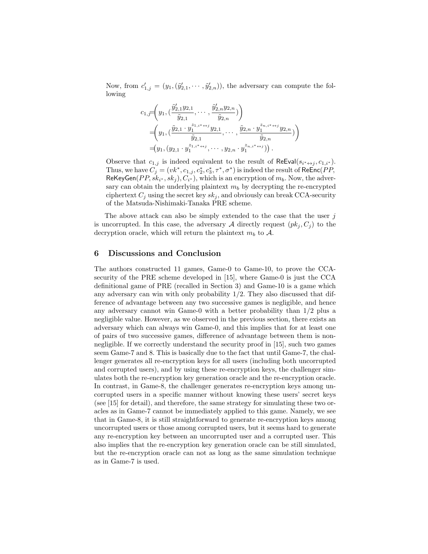Now, from  $c'_{1,j} = (y_1,(\tilde{y}'_{2,1},\cdots,\tilde{y}'_{2,n}))$ , the adversary can compute the following

$$
c_{1,\overline{f}}\left(y_1, \left(\frac{\tilde{y}'_{2,1}y_{2,1}}{\tilde{y}_{2,1}}, \cdots, \frac{\tilde{y}'_{2,n}y_{2,n}}{\tilde{y}_{2,n}}\right)\right) =\left(y_1, \left(\frac{\tilde{y}_{2,1} \cdot y_1^{z_{1,i^*}\leftrightarrow j}y_{2,1}}{\tilde{y}_{2,1}}, \cdots, \frac{\tilde{y}_{2,n} \cdot y_1^{z_{n,i^*}\leftrightarrow j}y_{2,n}}{\tilde{y}_{2,n}}\right)\right) =\left(y_1, \left(y_{2,1} \cdot y_1^{z_{1,i^*}\leftrightarrow j}, \cdots, y_{2,n} \cdot y_1^{z_{n,i^*}\leftrightarrow j}\right)\right).
$$

Observe that  $c_{1,j}$  is indeed equivalent to the result of ReEval( $s_{i^* \leftrightarrow j}, c_{1,i^*}$ ). Thus, we have  $C_j = (vk^*, c_{1,j}, c^*_2, c^*_3, \tau^*, \sigma^*)$  is indeed the result of  $\mathsf{ReEnc}(PP,$  $\mathsf{ReKeyGen}(PP, sk_{i^*}, sk_j), C_{i^*}),$  which is an encryption of  $m_b$ . Now, the adversary can obtain the underlying plaintext  $m_b$  by decrypting the re-encrypted ciphertext  $C_j$  using the secret key  $sk_j$ , and obviously can break CCA-security of the Matsuda-Nishimaki-Tanaka PRE scheme.

The above attack can also be simply extended to the case that the user *j* is uncorrupted. In this case, the adversary A directly request  $(pk_i, C_i)$  to the decryption oracle, which will return the plaintext  $m_b$  to  $A$ .

## **6 Discussions and Conclusion**

The authors constructed 11 games, Game-0 to Game-10, to prove the CCAsecurity of the PRE scheme developed in [15], where Game-0 is just the CCA definitional game of PRE (recalled in Section 3) and Game-10 is a game which any adversary can win with only probability  $1/2$ . They also discussed that difference of advantage between any two successive games is negligible, and hence any adversary cannot win Game-0 with a better probability than 1/2 plus a negligible value. However, as we observed in the previous section, there exists an adversary which can always win Game-0, and this implies that for at least one of pairs of two successive games, difference of advantage between them is nonnegligible. If we correctly understand the security proof in [15], such two games seem Game-7 and 8. This is basically due to the fact that until Game-7, the challenger generates all re-encryption keys for all users (including both uncorrupted and corrupted users), and by using these re-encryption keys, the challenger simulates both the re-encryption key generation oracle and the re-encryption oracle. In contrast, in Game-8, the challenger generates re-encryption keys among uncorrupted users in a specific manner without knowing these users' secret keys (see [15] for detail), and therefore, the same strategy for simulating these two oracles as in Game-7 cannot be immediately applied to this game. Namely, we see that in Game-8, it is still straightforward to generate re-encryption keys among uncorrupted users or those among corrupted users, but it seems hard to generate any re-encryption key between an uncorrupted user and a corrupted user. This also implies that the re-encryption key generation oracle can be still simulated, but the re-encryption oracle can not as long as the same simulation technique as in Game-7 is used.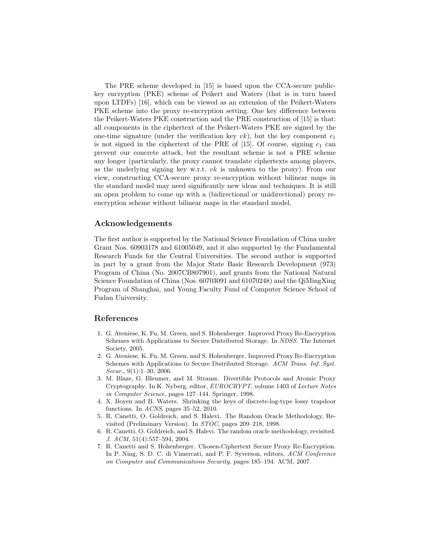The PRE scheme developed in [15] is based upon the CCA-secure publickey encryption (PKE) scheme of Peikert and Waters (that is in turn based upon LTDFs) [16], which can be viewed as an extension of the Peikert-Waters PKE scheme into the proxy re-encryption setting. One key difference between the Peikert-Waters PKE construction and the PRE construction of [15] is that: all components in the ciphertext of the Peikert-Waters PKE are signed by the one-time signature (under the verification key  $vk$ ), but the key component  $c_1$ is not signed in the ciphertext of the PRE of  $[15]$ . Of course, signing  $c_1$  can prevent our concrete attack, but the resultant scheme is not a PRE scheme any longer (particularly, the proxy cannot translate ciphertexts among players, as the underlying signing key w.r.t. *vk* is unknown to the proxy). From our view, constructing CCA-secure proxy re-encryption without bilinear maps in the standard model may need significantly new ideas and techniques. It is still an open problem to come up with a (bidirectional or unidirectional) proxy reencryption scheme without bilinear maps in the standard model.

# **Acknowledgements**

The first author is supported by the National Science Foundation of China under Grant Nos. 60903178 and 61005049, and it also supported by the Fundamental Research Funds for the Central Universities. The second author is supported in part by a grant from the Major State Basic Research Development (973) Program of China (No. 2007CB807901), and grants from the National Natural Science Foundation of China (Nos. 60703091 and 61070248) and the QiMingXing Program of Shanghai, and Young Faculty Fund of Computer Science School of Fudan University.

## **References**

- 1. G. Ateniese, K. Fu, M. Green, and S. Hohenberger. Improved Proxy Re-Encryption Schemes with Applications to Secure Distributed Storage. In *NDSS*. The Internet Society, 2005.
- 2. G. Ateniese, K. Fu, M. Green, and S. Hohenberger. Improved Proxy Re-Encryption Schemes with Applications to Secure Distributed Storage. *ACM Trans. Inf. Syst. Secur.*, 9(1):1–30, 2006.
- 3. M. Blaze, G. Bleumer, and M. Strauss. Divertible Protocols and Atomic Proxy Cryptography. In K. Nyberg, editor, *EUROCRYPT*, volume 1403 of *Lecture Notes in Computer Science*, pages 127–144. Springer, 1998.
- 4. X. Boyen and B. Waters. Shrinking the keys of discrete-log-type lossy trapdoor functions. In *ACNS*, pages 35–52, 2010.
- 5. R. Canetti, O. Goldreich, and S. Halevi. The Random Oracle Methodology, Revisited (Preliminary Version). In *STOC*, pages 209–218, 1998.
- 6. R. Canetti, O. Goldreich, and S. Halevi. The random oracle methodology, revisited. *J. ACM*, 51(4):557–594, 2004.
- 7. R. Canetti and S. Hohenberger. Chosen-Ciphertext Secure Proxy Re-Encryption. In P. Ning, S. D. C. di Vimercati, and P. F. Syverson, editors, *ACM Conference on Computer and Communications Security*, pages 185–194. ACM, 2007.